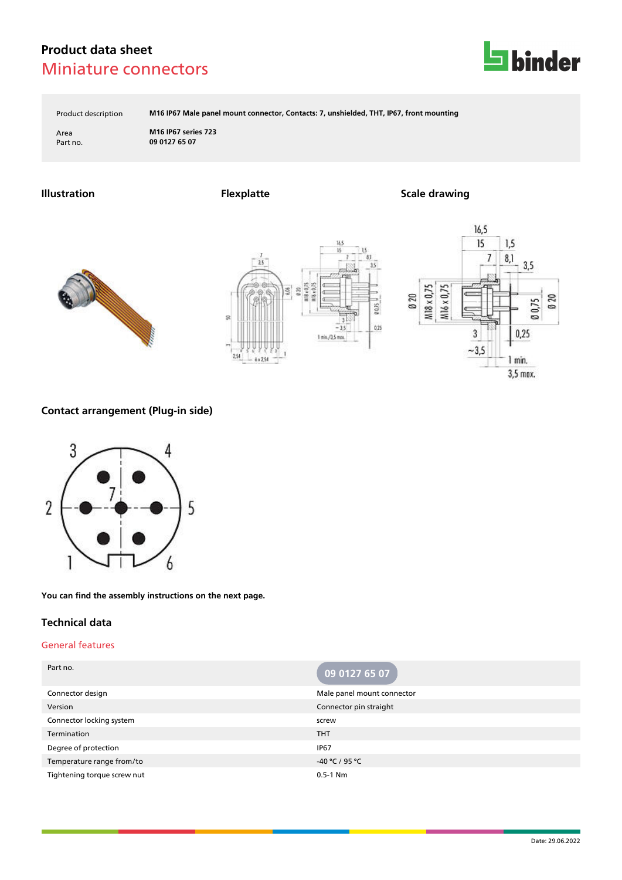

Product description **M16 IP67 Male panel mount connector, Contacts: 7, unshielded, THT, IP67, front mounting**

Area **M16 IP67 series 723** Part no. **09 0127 65 07**

**Illustration Flexplatte Scale drawing**







# **Contact arrangement (Plug-in side)**



**You can find the assembly instructions on the next page.**

### **Technical data**

### General features

| Part no.                    | 09 0127 65 07              |
|-----------------------------|----------------------------|
| Connector design            | Male panel mount connector |
| Version                     | Connector pin straight     |
| Connector locking system    | screw                      |
| Termination                 | <b>THT</b>                 |
| Degree of protection        | <b>IP67</b>                |
| Temperature range from/to   | -40 °C / 95 °C             |
| Tightening torque screw nut | $0.5 - 1$ Nm               |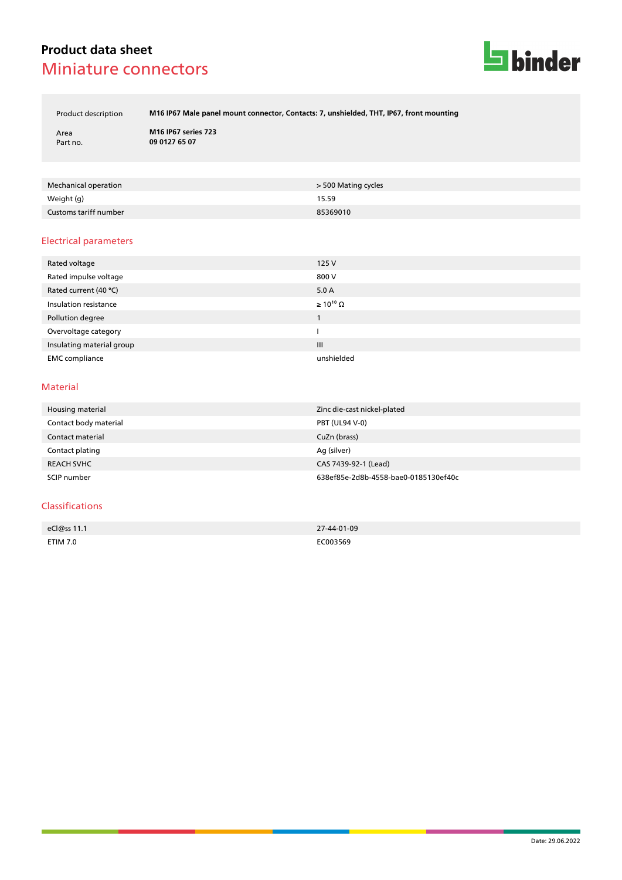

Product description **M16 IP67 Male panel mount connector, Contacts: 7, unshielded, THT, IP67, front mounting**

Area **M16 IP67 series 723** Part no. **09 0127 65 07**

| Mechanical operation  | > 500 Mating cycles |
|-----------------------|---------------------|
| Weight (g)            | 15.59               |
| Customs tariff number | 85369010            |

### Electrical parameters

| Rated voltage             | 125V                  |
|---------------------------|-----------------------|
| Rated impulse voltage     | 800 V                 |
| Rated current (40 °C)     | 5.0A                  |
| Insulation resistance     | $\geq 10^{10} \Omega$ |
| Pollution degree          |                       |
| Overvoltage category      |                       |
| Insulating material group | III                   |
| <b>EMC</b> compliance     | unshielded            |

### Material

| Housing material      | Zinc die-cast nickel-plated          |
|-----------------------|--------------------------------------|
| Contact body material | <b>PBT (UL94 V-0)</b>                |
| Contact material      | CuZn (brass)                         |
| Contact plating       | Ag (silver)                          |
| <b>REACH SVHC</b>     | CAS 7439-92-1 (Lead)                 |
| SCIP number           | 638ef85e-2d8b-4558-bae0-0185130ef40c |

#### Classifications

| eCl@ss 11.1                                                                     | 27-44-01-09 |
|---------------------------------------------------------------------------------|-------------|
|                                                                                 |             |
| ETIM 7.0                                                                        | C003569     |
| the contract of the contract of the contract of the contract of the contract of | .           |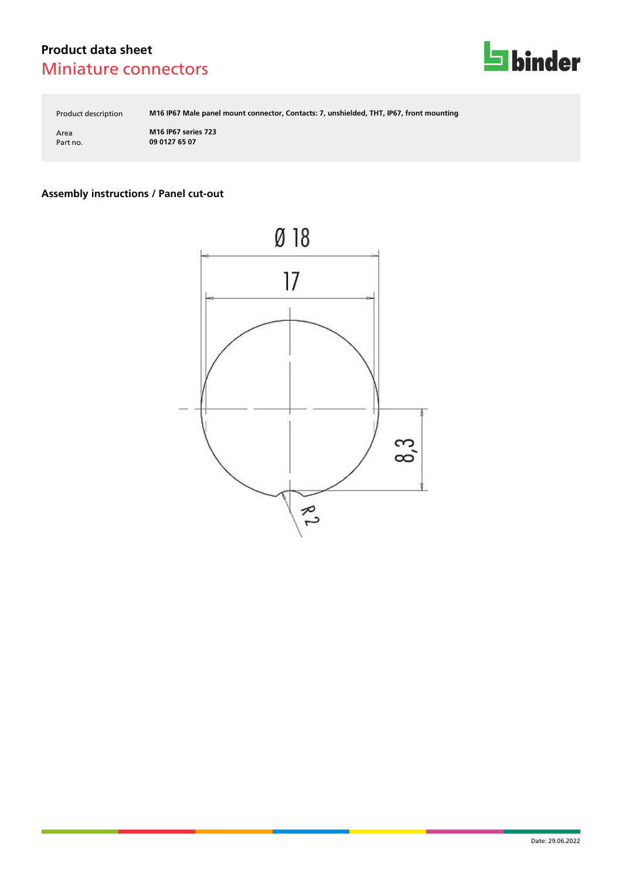

Product description **M16 IP67 Male panel mount connector, Contacts: 7, unshielded, THT, IP67, front mounting**

Area **M16 IP67 series 723** Part no. **09 0127 65 07**

# **Assembly instructions / Panel cut-out**